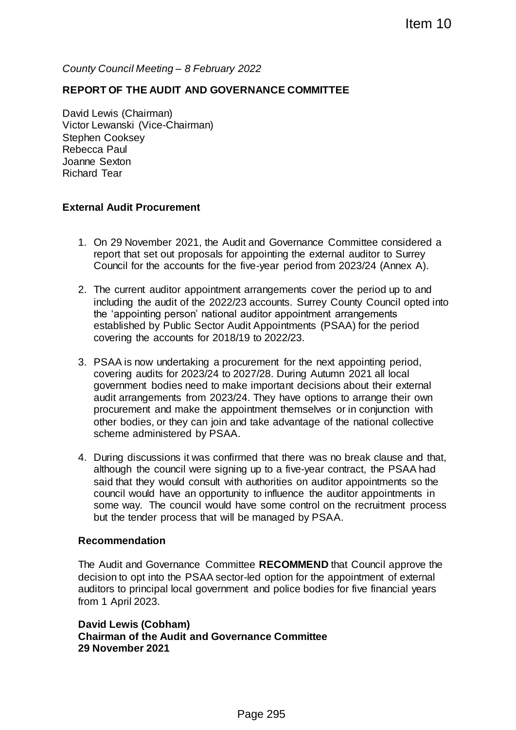*County Council Meeting – 8 February 2022*

## **REPORT OF THE AUDIT AND GOVERNANCE COMMITTEE**

David Lewis (Chairman) Victor Lewanski (Vice-Chairman) Stephen Cooksey Rebecca Paul Joanne Sexton Richard Tear

## **External Audit Procurement**

- 1. On 29 November 2021, the Audit and Governance Committee considered a report that set out proposals for appointing the external auditor to Surrey Council for the accounts for the five-year period from 2023/24 (Annex A).
- 2. The current auditor appointment arrangements cover the period up to and including the audit of the 2022/23 accounts. Surrey County Council opted into the 'appointing person' national auditor appointment arrangements established by Public Sector Audit Appointments (PSAA) for the period covering the accounts for 2018/19 to 2022/23.
- 3. PSAA is now undertaking a procurement for the next appointing period, covering audits for 2023/24 to 2027/28. During Autumn 2021 all local government bodies need to make important decisions about their external audit arrangements from 2023/24. They have options to arrange their own procurement and make the appointment themselves or in conjunction with other bodies, or they can join and take advantage of the national collective scheme administered by PSAA. Item 10<br>
2022<br>
ERNANCE COMMITTEE<br>
ERNANCE COMMITTEE<br>
five-year period from 2023/24 (Annex A).<br>
five-year period from 2023/24 (Annex A).<br>
18 arrangements cover the period up to and<br>
18 accounts. Surrey County Council opted
- 4. During discussions it was confirmed that there was no break clause and that, although the council were signing up to a five-year contract, the PSAA had said that they would consult with authorities on auditor appointments so the council would have an opportunity to influence the auditor appointments in some way. The council would have some control on the recruitment process but the tender process that will be managed by PSAA.

## **Recommendation**

The Audit and Governance Committee **RECOMMEND** that Council approve the decision to opt into the PSAA sector-led option for the appointment of external auditors to principal local government and police bodies for five financial years from 1 April 2023.

**David Lewis (Cobham) Chairman of the Audit and Governance Committee 29 November 2021**